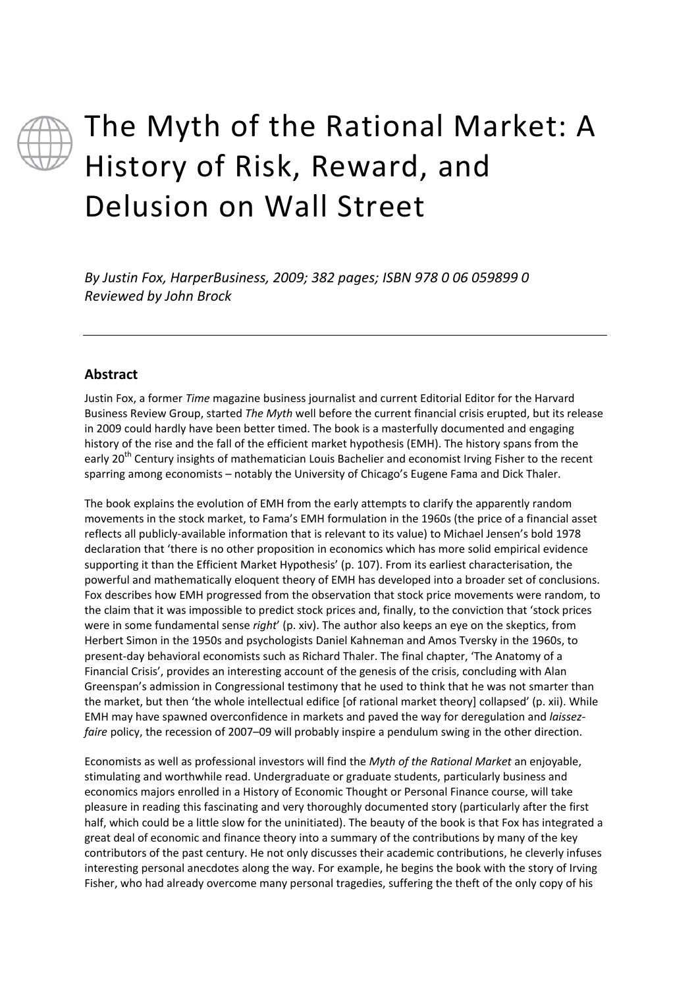

## The Myth of the Rational Market: A History of Risk, Reward, and Delusion on Wall Street

*By Justin Fox, HarperBusiness, 2009; 382 pages; ISBN 978 0 06 059899 0 Reviewed by John Brock*

## **Abstract**

Justin Fox, a former *Time* magazine business journalist and current Editorial Editor for the Harvard Business Review Group, started *The Myth* well before the current financial crisis erupted, but its release in 2009 could hardly have been better timed. The book is a masterfully documented and engaging history of the rise and the fall of the efficient market hypothesis (EMH). The history spans from the early 20<sup>th</sup> Century insights of mathematician Louis Bachelier and economist Irving Fisher to the recent sparring among economists – notably the University of Chicago's Eugene Fama and Dick Thaler.

The book explains the evolution of EMH from the early attempts to clarify the apparently random movements in the stock market, to Fama's EMH formulation in the 1960s (the price of a financial asset reflects all publicly‐available information that is relevant to its value) to Michael Jensen's bold 1978 declaration that 'there is no other proposition in economics which has more solid empirical evidence supporting it than the Efficient Market Hypothesis' (p. 107). From its earliest characterisation, the powerful and mathematically eloquent theory of EMH has developed into a broader set of conclusions. Fox describes how EMH progressed from the observation that stock price movements were random, to the claim that it was impossible to predict stock prices and, finally, to the conviction that 'stock prices were in some fundamental sense *right*' (p. xiv). The author also keeps an eye on the skeptics, from Herbert Simon in the 1950s and psychologists Daniel Kahneman and Amos Tversky in the 1960s, to present‐day behavioral economists such as Richard Thaler. The final chapter, 'The Anatomy of a Financial Crisis', provides an interesting account of the genesis of the crisis, concluding with Alan Greenspan's admission in Congressional testimony that he used to think that he was not smarter than the market, but then 'the whole intellectual edifice [of rational market theory] collapsed' (p. xii). While EMH may have spawned overconfidence in markets and paved the way for deregulation and *laissez‐ faire* policy, the recession of 2007–09 will probably inspire a pendulum swing in the other direction.

Economists as well as professional investors will find the *Myth of the Rational Market* an enjoyable, stimulating and worthwhile read. Undergraduate or graduate students, particularly business and economics majors enrolled in a History of Economic Thought or Personal Finance course, will take pleasure in reading this fascinating and very thoroughly documented story (particularly after the first half, which could be a little slow for the uninitiated). The beauty of the book is that Fox has integrated a great deal of economic and finance theory into a summary of the contributions by many of the key contributors of the past century. He not only discusses their academic contributions, he cleverly infuses interesting personal anecdotes along the way. For example, he begins the book with the story of Irving Fisher, who had already overcome many personal tragedies, suffering the theft of the only copy of his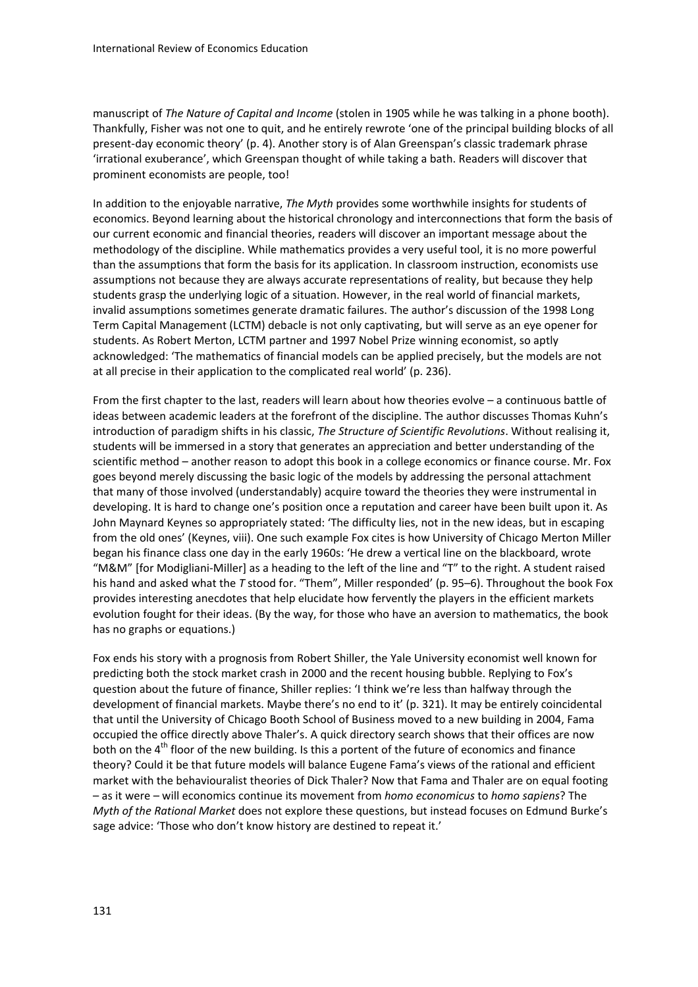manuscript of *The Nature of Capital and Income* (stolen in 1905 while he was talking in a phone booth). Thankfully, Fisher was not one to quit, and he entirely rewrote 'one of the principal building blocks of all present‐day economic theory' (p. 4). Another story is of Alan Greenspan's classic trademark phrase 'irrational exuberance', which Greenspan thought of while taking a bath. Readers will discover that prominent economists are people, too!

In addition to the enjoyable narrative, *The Myth* provides some worthwhile insights for students of economics. Beyond learning about the historical chronology and interconnections that form the basis of our current economic and financial theories, readers will discover an important message about the methodology of the discipline. While mathematics provides a very useful tool, it is no more powerful than the assumptions that form the basis for its application. In classroom instruction, economists use assumptions not because they are always accurate representations of reality, but because they help students grasp the underlying logic of a situation. However, in the real world of financial markets, invalid assumptions sometimes generate dramatic failures. The author's discussion of the 1998 Long Term Capital Management (LCTM) debacle is not only captivating, but will serve as an eye opener for students. As Robert Merton, LCTM partner and 1997 Nobel Prize winning economist, so aptly acknowledged: 'The mathematics of financial models can be applied precisely, but the models are not at all precise in their application to the complicated real world' (p. 236).

From the first chapter to the last, readers will learn about how theories evolve – a continuous battle of ideas between academic leaders at the forefront of the discipline. The author discusses Thomas Kuhn's introduction of paradigm shifts in his classic, *The Structure of Scientific Revolutions*. Without realising it, students will be immersed in a story that generates an appreciation and better understanding of the scientific method – another reason to adopt this book in a college economics or finance course. Mr. Fox goes beyond merely discussing the basic logic of the models by addressing the personal attachment that many of those involved (understandably) acquire toward the theories they were instrumental in developing. It is hard to change one's position once a reputation and career have been built upon it. As John Maynard Keynes so appropriately stated: 'The difficulty lies, not in the new ideas, but in escaping from the old ones' (Keynes, viii). One such example Fox cites is how University of Chicago Merton Miller began his finance class one day in the early 1960s: 'He drew a vertical line on the blackboard, wrote "M&M" [for Modigliani‐Miller] as a heading to the left of the line and "T" to the right. A student raised his hand and asked what the *T* stood for. "Them", Miller responded' (p. 95–6). Throughout the book Fox provides interesting anecdotes that help elucidate how fervently the players in the efficient markets evolution fought for their ideas. (By the way, for those who have an aversion to mathematics, the book has no graphs or equations.)

Fox ends his story with a prognosis from Robert Shiller, the Yale University economist well known for predicting both the stock market crash in 2000 and the recent housing bubble. Replying to Fox's question about the future of finance, Shiller replies: 'I think we're less than halfway through the development of financial markets. Maybe there's no end to it' (p. 321). It may be entirely coincidental that until the University of Chicago Booth School of Business moved to a new building in 2004, Fama occupied the office directly above Thaler's. A quick directory search shows that their offices are now both on the  $4<sup>th</sup>$  floor of the new building. Is this a portent of the future of economics and finance theory? Could it be that future models will balance Eugene Fama's views of the rational and efficient market with the behaviouralist theories of Dick Thaler? Now that Fama and Thaler are on equal footing – as it were – will economics continue its movement from *homo economicus* to *homo sapiens*? The *Myth of the Rational Market* does not explore these questions, but instead focuses on Edmund Burke's sage advice: 'Those who don't know history are destined to repeat it.'